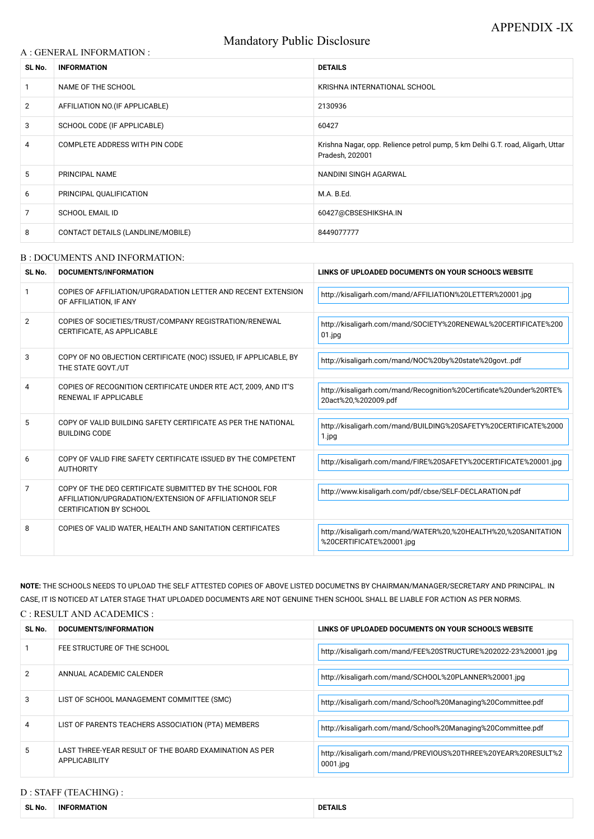# Mandatory Public Disclosure

#### A : GENERAL INFORMATION :

| SL No.         | <b>INFORMATION</b>                | <b>DETAILS</b>                                                                                    |  |
|----------------|-----------------------------------|---------------------------------------------------------------------------------------------------|--|
|                | NAME OF THE SCHOOL                | KRISHNA INTERNATIONAL SCHOOL                                                                      |  |
| $\overline{2}$ | AFFILIATION NO. (IF APPLICABLE)   | 2130936                                                                                           |  |
| 3              | SCHOOL CODE (IF APPLICABLE)       | 60427                                                                                             |  |
| 4              | COMPLETE ADDRESS WITH PIN CODE    | Krishna Nagar, opp. Relience petrol pump, 5 km Delhi G.T. road, Aligarh, Uttar<br>Pradesh, 202001 |  |
| 5              | PRINCIPAL NAME                    | NANDINI SINGH AGARWAL                                                                             |  |
| 6              | PRINCIPAL QUALIFICATION           | M.A. B.Ed.                                                                                        |  |
| 7              | <b>SCHOOL EMAIL ID</b>            | 60427@CBSESHIKSHA.IN                                                                              |  |
| 8              | CONTACT DETAILS (LANDLINE/MOBILE) | 8449077777                                                                                        |  |

#### B : DOCUMENTS AND INFORMATION:

| SL No.         | DOCUMENTS/INFORMATION                                                                                                                                | LINKS OF UPLOADED DOCUMENTS ON YOUR SCHOOL'S WEBSITE                                        |  |
|----------------|------------------------------------------------------------------------------------------------------------------------------------------------------|---------------------------------------------------------------------------------------------|--|
|                | COPIES OF AFFILIATION/UPGRADATION LETTER AND RECENT EXTENSION<br>OF AFFILIATION, IF ANY                                                              | http://kisaligarh.com/mand/AFFILIATION%20LETTER%20001.jpg                                   |  |
| $\overline{2}$ | COPIES OF SOCIETIES/TRUST/COMPANY REGISTRATION/RENEWAL<br>CERTIFICATE, AS APPLICABLE                                                                 | http://kisaligarh.com/mand/SOCIETY%20RENEWAL%20CERTIFICATE%200<br>$01$ .jpg                 |  |
| 3              | COPY OF NO OBJECTION CERTIFICATE (NOC) ISSUED, IF APPLICABLE, BY<br>THE STATE GOVT./UT                                                               | http://kisaligarh.com/mand/NOC%20by%20state%20govtpdf                                       |  |
| 4              | COPIES OF RECOGNITION CERTIFICATE UNDER RTE ACT, 2009, AND IT'S<br><b>RENEWAL IF APPLICABLE</b>                                                      | http://kisaligarh.com/mand/Recognition%20Certificate%20under%20RTE%<br>20act%20,%202009.pdf |  |
| 5              | COPY OF VALID BUILDING SAFETY CERTIFICATE AS PER THE NATIONAL<br><b>BUILDING CODE</b>                                                                | http://kisaligarh.com/mand/BUILDING%20SAFETY%20CERTIFICATE%2000<br>1.jpg                    |  |
| 6              | COPY OF VALID FIRE SAFETY CERTIFICATE ISSUED BY THE COMPETENT<br><b>AUTHORITY</b>                                                                    | http://kisaligarh.com/mand/FIRE%20SAFETY%20CERTIFICATE%20001.jpg                            |  |
| 7              | COPY OF THE DEO CERTIFICATE SUBMITTED BY THE SCHOOL FOR<br>AFFILIATION/UPGRADATION/EXTENSION OF AFFILIATIONOR SELF<br><b>CERTIFICATION BY SCHOOL</b> | http://www.kisaligarh.com/pdf/cbse/SELF-DECLARATION.pdf                                     |  |
| 8              | COPIES OF VALID WATER, HEALTH AND SANITATION CERTIFICATES                                                                                            | http://kisaligarh.com/mand/WATER%20,%20HEALTH%20,%20SANITATION<br>%20CERTIFICATE%20001.jpg  |  |

| SL No. | <b>DOCUMENTS/INFORMATION</b>                                                   | LINKS OF UPLOADED DOCUMENTS ON YOUR SCHOOL'S WEBSITE                         |
|--------|--------------------------------------------------------------------------------|------------------------------------------------------------------------------|
|        | FEE STRUCTURE OF THE SCHOOL                                                    | http://kisaligarh.com/mand/FEE%20STRUCTURE%202022-23%20001.jpg               |
| 2      | ANNUAL ACADEMIC CALENDER                                                       | http://kisaligarh.com/mand/SCHOOL%20PLANNER%20001.jpg                        |
| 3      | LIST OF SCHOOL MANAGEMENT COMMITTEE (SMC)                                      | http://kisaligarh.com/mand/School%20Managing%20Committee.pdf                 |
| 4      | LIST OF PARENTS TEACHERS ASSOCIATION (PTA) MEMBERS                             | http://kisaligarh.com/mand/School%20Managing%20Committee.pdf                 |
| 5      | LAST THREE-YEAR RESULT OF THE BOARD EXAMINATION AS PER<br><b>APPLICABILITY</b> | http://kisaligarh.com/mand/PREVIOUS%20THREE%20YEAR%20RESULT%2<br>$0001$ .jpg |

**NOTE:** THE SCHOOLS NEEDS TO UPLOAD THE SELF ATTESTED COPIES OF ABOVE LISTED DOCUMETNS BY CHAIRMAN/MANAGER/SECRETARY AND PRINCIPAL. IN CASE, IT IS NOTICED AT LATER STAGE THAT UPLOADED DOCUMENTS ARE NOT GENUINE THEN SCHOOL SHALL BE LIABLE FOR ACTION AS PER NORMS.

C : RESULT AND ACADEMICS :

# D : STAFF (TEACHING) :

| SL No | <b>ORMATION</b><br>INF <sup>(</sup> | <b>DETAILS</b> |
|-------|-------------------------------------|----------------|
|-------|-------------------------------------|----------------|